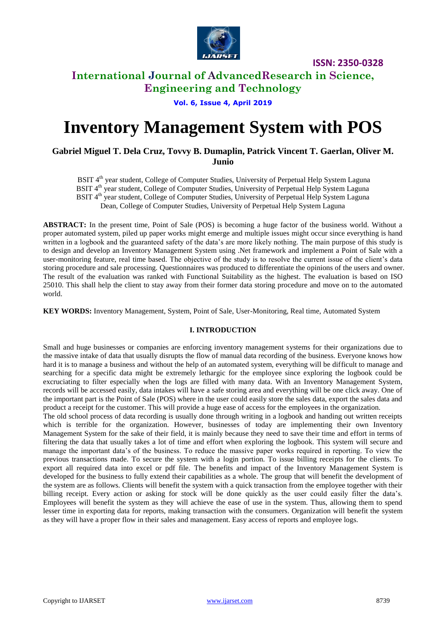

# **International Journal of AdvancedResearch in Science, Engineering and Technology**

**Vol. 6, Issue 4, April 2019**

# **Inventory Management System with POS**

### **Gabriel Miguel T. Dela Cruz, Tovvy B. Dumaplin, Patrick Vincent T. Gaerlan, Oliver M. Junio**

BSIT 4<sup>th</sup> year student, College of Computer Studies, University of Perpetual Help System Laguna BSIT 4<sup>th</sup> year student, College of Computer Studies, University of Perpetual Help System Laguna BSIT 4<sup>th</sup> year student, College of Computer Studies, University of Perpetual Help System Laguna Dean, College of Computer Studies, University of Perpetual Help System Laguna

**ABSTRACT:** In the present time, Point of Sale (POS) is becoming a huge factor of the business world. Without a proper automated system, piled up paper works might emerge and multiple issues might occur since everything is hand written in a logbook and the guaranteed safety of the data's are more likely nothing. The main purpose of this study is to design and develop an Inventory Management System using .Net framework and implement a Point of Sale with a user-monitoring feature, real time based. The objective of the study is to resolve the current issue of the client's data storing procedure and sale processing. Questionnaires was produced to differentiate the opinions of the users and owner. The result of the evaluation was ranked with Functional Suitability as the highest. The evaluation is based on ISO 25010. This shall help the client to stay away from their former data storing procedure and move on to the automated world.

**KEY WORDS:** Inventory Management, System, Point of Sale, User-Monitoring, Real time, Automated System

#### **I. INTRODUCTION**

Small and huge businesses or companies are enforcing inventory management systems for their organizations due to the massive intake of data that usually disrupts the flow of manual data recording of the business. Everyone knows how hard it is to manage a business and without the help of an automated system, everything will be difficult to manage and searching for a specific data might be extremely lethargic for the employee since exploring the logbook could be excruciating to filter especially when the logs are filled with many data. With an Inventory Management System, records will be accessed easily, data intakes will have a safe storing area and everything will be one click away. One of the important part is the Point of Sale (POS) where in the user could easily store the sales data, export the sales data and product a receipt for the customer. This will provide a huge ease of access for the employees in the organization.

The old school process of data recording is usually done through writing in a logbook and handing out written receipts which is terrible for the organization. However, businesses of today are implementing their own Inventory Management System for the sake of their field, it is mainly because they need to save their time and effort in terms of filtering the data that usually takes a lot of time and effort when exploring the logbook. This system will secure and manage the important data's of the business. To reduce the massive paper works required in reporting. To view the previous transactions made. To secure the system with a login portion. To issue billing receipts for the clients. To export all required data into excel or pdf file. The benefits and impact of the Inventory Management System is developed for the business to fully extend their capabilities as a whole. The group that will benefit the development of the system are as follows. Clients will benefit the system with a quick transaction from the employee together with their billing receipt. Every action or asking for stock will be done quickly as the user could easily filter the data's. Employees will benefit the system as they will achieve the ease of use in the system. Thus, allowing them to spend lesser time in exporting data for reports, making transaction with the consumers. Organization will benefit the system as they will have a proper flow in their sales and management. Easy access of reports and employee logs.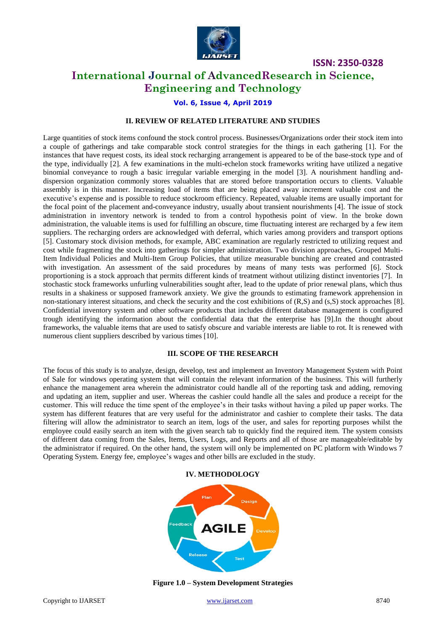

# **International Journal of AdvancedResearch in Science, Engineering and Technology**

#### **Vol. 6, Issue 4, April 2019**

#### **II. REVIEW OF RELATED LITERATURE AND STUDIES**

Large quantities of stock items confound the stock control process. Businesses/Organizations order their stock item into a couple of gatherings and take comparable stock control strategies for the things in each gathering [1]. For the instances that have request costs, its ideal stock recharging arrangement is appeared to be of the base-stock type and of the type, individually [2]. A few examinations in the multi-echelon stock frameworks writing have utilized a negative binomial conveyance to rough a basic irregular variable emerging in the model [3]. A nourishment handling anddispersion organization commonly stores valuables that are stored before transportation occurs to clients. Valuable assembly is in this manner. Increasing load of items that are being placed away increment valuable cost and the executive's expense and is possible to reduce stockroom efficiency. Repeated, valuable items are usually important for the focal point of the placement and-conveyance industry, usually about transient nourishments [4]. The issue of stock administration in inventory network is tended to from a control hypothesis point of view. In the broke down administration, the valuable items is used for fulfilling an obscure, time fluctuating interest are recharged by a few item suppliers. The recharging orders are acknowledged with deferral, which varies among providers and transport options [5]. Customary stock division methods, for example, ABC examination are regularly restricted to utilizing request and cost while fragmenting the stock into gatherings for simpler administration. Two division approaches, Grouped Multi-Item Individual Policies and Multi-Item Group Policies, that utilize measurable bunching are created and contrasted with investigation. An assessment of the said procedures by means of many tests was performed [6]. Stock proportioning is a stock approach that permits different kinds of treatment without utilizing distinct inventories [7]. In stochastic stock frameworks unfurling vulnerabilities sought after, lead to the update of prior renewal plans, which thus results in a shakiness or supposed framework anxiety. We give the grounds to estimating framework apprehension in non-stationary interest situations, and check the security and the cost exhibitions of (R,S) and (s,S) stock approaches [8]. Confidential inventory system and other software products that includes different database management is configured trough identifying the information about the confidential data that the enterprise has [9].In the thought about frameworks, the valuable items that are used to satisfy obscure and variable interests are liable to rot. It is renewed with numerous client suppliers described by various times [10].

#### **III. SCOPE OF THE RESEARCH**

The focus of this study is to analyze, design, develop, test and implement an Inventory Management System with Point of Sale for windows operating system that will contain the relevant information of the business. This will furtherly enhance the management area wherein the administrator could handle all of the reporting task and adding, removing and updating an item, supplier and user. Whereas the cashier could handle all the sales and produce a receipt for the customer. This will reduce the time spent of the employee's in their tasks without having a piled up paper works. The system has different features that are very useful for the administrator and cashier to complete their tasks. The data filtering will allow the administrator to search an item, logs of the user, and sales for reporting purposes whilst the employee could easily search an item with the given search tab to quickly find the required item. The system consists of different data coming from the Sales, Items, Users, Logs, and Reports and all of those are manageable/editable by the administrator if required. On the other hand, the system will only be implemented on PC platform with Windows 7 Operating System. Energy fee, employee's wages and other bills are excluded in the study.

#### **IV. METHODOLOGY**



**Figure 1.0 – System Development Strategies**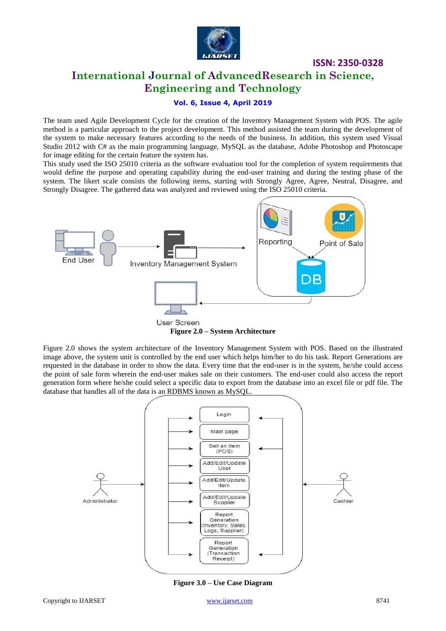

# **International Journal of AdvancedResearch in Science, Engineering and Technology**

### **Vol. 6, Issue 4, April 2019**

The team used Agile Development Cycle for the creation of the Inventory Management System with POS. The agile method is a particular approach to the project development. This method assisted the team during the development of the system to make necessary features according to the needs of the business. In addition, this system used Visual Studio 2012 with C# as the main programming language, MySQL as the database, Adobe Photoshop and Photoscape for image editing for the certain feature the system has.

This study used the ISO 25010 criteria as the software evaluation tool for the completion of system requirements that would define the purpose and operating capability during the end-user training and during the testing phase of the system. The likert scale consists the following items, starting with Strongly Agree, Agree, Neutral, Disagree, and Strongly Disagree. The gathered data was analyzed and reviewed using the ISO 25010 criteria.



Figure 2.0 shows the system architecture of the Inventory Management System with POS. Based on the illustrated image above, the system unit is controlled by the end user which helps him/her to do his task. Report Generations are requested in the database in order to show the data. Every time that the end-user is in the system, he/she could access the point of sale form wherein the end-user makes sale on their customers. The end-user could also access the report generation form where he/she could select a specific data to export from the database into an excel file or pdf file. The database that handles all of the data is an RDBMS known as MySQL.



**Figure 3.0 – Use Case Diagram**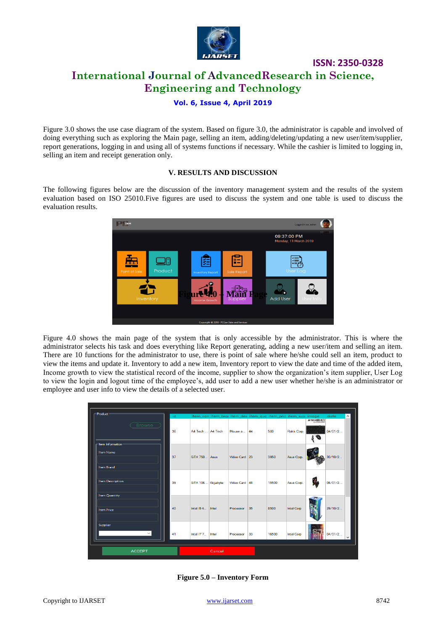

# **International Journal of AdvancedResearch in Science, Engineering and Technology**

**ISSN: 2350-0328**

#### **Vol. 6, Issue 4, April 2019**

Figure 3.0 shows the use case diagram of the system. Based on figure 3.0, the administrator is capable and involved of doing everything such as exploring the Main page, selling an item, adding/deleting/updating a new user/item/supplier, report generations, logging in and using all of systems functions if necessary. While the cashier is limited to logging in, selling an item and receipt generation only.

#### **V. RESULTS AND DISCUSSION**

The following figures below are the discussion of the inventory management system and the results of the system evaluation based on ISO 25010.Five figures are used to discuss the system and one table is used to discuss the evaluation results.



Figure 4.0 shows the main page of the system that is only accessible by the administrator. This is where the administrator selects his task and does everything like Report generating, adding a new user/item and selling an item. There are 10 functions for the administrator to use, there is point of sale where he/she could sell an item, product to view the items and update it. Inventory to add a new item, Inventory report to view the date and time of the added item, Income growth to view the statistical record of the income, supplier to show the organization's item supplier, User Log to view the login and logout time of the employee's, add user to add a new user whether he/she is an administrator or employee and user info to view the details of a selected user.

| - Product -                              | id |                     |        |               |    |       | item_nan item_brai item_des item_qua item_pric item_supj image |                        | date    | $\hat{}$     |
|------------------------------------------|----|---------------------|--------|---------------|----|-------|----------------------------------------------------------------|------------------------|---------|--------------|
| <b>Browse</b><br>Item Information        | 36 | A4 Tech A4 Tech     |        | Mouse a       | 44 | 500   | Rakk Corp.                                                     | <b>AATECH KRS-8572</b> | 04/01/2 |              |
| <b>Item Name</b><br><b>Item Brand</b>    | 37 | <b>GTX 750</b> Asus |        | Video Card 23 |    | 3950  | Asus Corp.                                                     |                        | 30/10/2 |              |
| <b>Item Description</b><br>Item Quantity | 39 | GTX 106 Gigabyte    |        | Video Card 48 |    | 15500 | Asus Corp.                                                     |                        | 06/01/2 |              |
| <b>Item Price</b>                        | 40 | Intel I5.6 Intel    |        | Processor     | 35 | 8500  | <b>Intel Corp</b>                                              |                        | 29/10/2 |              |
| Supplier                                 | 41 | Intel 17 7          | Intel  | Processor     | 33 | 16500 | <b>Intel Corp</b>                                              |                        | 04/01/2 | $\checkmark$ |
| <b>ACCEPT</b>                            |    |                     | Cancel |               |    |       |                                                                |                        |         |              |

**Figure 5.0 – Inventory Form**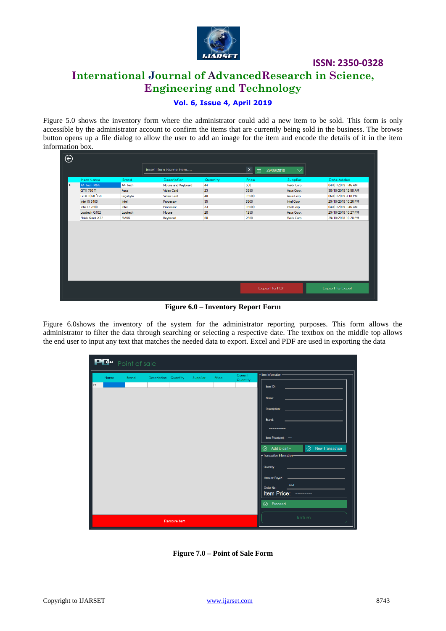

# **International Journal of AdvancedResearch in Science, Engineering and Technology**

#### **Vol. 6, Issue 4, April 2019**

Figure 5.0 shows the inventory form where the administrator could add a new item to be sold. This form is only accessible by the administrator account to confirm the items that are currently being sold in the business. The browse button opens up a file dialog to allow the user to add an image for the item and encode the details of it in the item information box.

| $\overline{\Theta}$ |                  |             |                       |          |                                                              |                   |                     |
|---------------------|------------------|-------------|-----------------------|----------|--------------------------------------------------------------|-------------------|---------------------|
|                     |                  |             | Insert Item Name Here |          | $\boldsymbol{\mathsf{x}}$<br>圖<br>29/09/2018<br>$\checkmark$ |                   |                     |
|                     | <b>Item Name</b> | Brand       | Description           | Quantity | Price                                                        | Supplier          | Date Added          |
|                     | A4 Tech M&K      | A4 Tech     | Mouse and Keyboard    | 44       | 500                                                          | Rakk Corp.        | 04/01/2019 1:46 AM  |
|                     | GTX 750 Ti       | Asus        | <b>Video Card</b>     | 23       | 3950                                                         | Asus Corp.        | 30/10/2018 12:58 AM |
|                     | GTX 1060 ^GB     | Gigabyte    | <b>Video Card</b>     | 48       | 15500                                                        | Asus Corp.        | 06/01/2019 3:18 PM  |
|                     | Intel 15 6400    | Intel       | Processor             | 35       | 8500                                                         | <b>Intel Corp</b> | 29/10/2018 10:26 PM |
|                     | Intel 17 7600    | Intel       | Processor             | 33       | 16500                                                        | <b>Intel Corp</b> | 04/01/2019 1:46 AM  |
|                     | Logitech G102    | Logitech    | Mouse                 | 20       | 1250                                                         | Asus Corp.        | 29/10/2018 10:27 PM |
|                     | Rakk Kimat XT2   | <b>RAKK</b> | Keyboard              | 50       | 2650                                                         | Rakk Corp.        | 29/10/2018 10:28 PM |
|                     |                  |             |                       |          |                                                              |                   |                     |
|                     |                  |             |                       |          | Export to Excel<br>Export to PDF                             |                   |                     |
|                     |                  |             |                       |          |                                                              |                   |                     |

**Figure 6.0 – Inventory Report Form**

Figure 6.0shows the inventory of the system for the administrator reporting purposes. This form allows the administrator to filter the data through searching or selecting a respective date. The textbox on the middle top allows the end user to input any text that matches the needed data to export. Excel and PDF are used in exporting the data

| <b>PLA</b> Point of sale |      |       |                      |             |          |       |                     |                                                  |  |
|--------------------------|------|-------|----------------------|-------------|----------|-------|---------------------|--------------------------------------------------|--|
|                          | Name | Brand | Description Quantity |             | Supplier | Price | Current<br>Quantity | - Item Information                               |  |
| I۰۰                      |      |       |                      |             |          |       |                     | Item ID:                                         |  |
|                          |      |       |                      |             |          |       |                     | Name:                                            |  |
|                          |      |       |                      |             |          |       |                     | Description:                                     |  |
|                          |      |       |                      |             |          |       |                     | Brand:                                           |  |
|                          |      |       |                      |             |          |       |                     |                                                  |  |
|                          |      |       |                      |             |          |       |                     | Item Price(per): ----                            |  |
|                          |      |       |                      |             |          |       |                     | $\odot$ New Transaction<br>$\odot$ Add to cart + |  |
|                          |      |       |                      |             |          |       |                     | - Transaction Information                        |  |
|                          |      |       |                      |             |          |       |                     | Quantity:                                        |  |
|                          |      |       |                      |             |          |       |                     | Amount Payed                                     |  |
|                          |      |       |                      |             |          |       |                     | 561<br>Order No:<br>Item Price:<br>----------    |  |
|                          |      |       |                      |             |          |       |                     | ⊙ Proceed                                        |  |
|                          |      |       |                      |             |          |       |                     |                                                  |  |
|                          |      |       |                      | Remove Item |          |       |                     | Return                                           |  |

**Figure 7.0 – Point of Sale Form**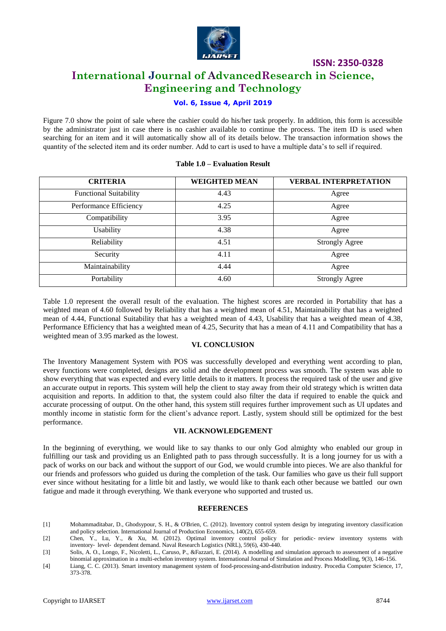

# **International Journal of AdvancedResearch in Science, Engineering and Technology**

#### **Vol. 6, Issue 4, April 2019**

Figure 7.0 show the point of sale where the cashier could do his/her task properly. In addition, this form is accessible by the administrator just in case there is no cashier available to continue the process. The item ID is used when searching for an item and it will automatically show all of its details below. The transaction information shows the quantity of the selected item and its order number. Add to cart is used to have a multiple data's to sell if required.

# **CRITERIA WEIGHTED MEAN VERBAL INTERPRETATION** Functional Suitability 1991 and 14.43 Agree Performance Efficiency and the 4.25 Agree Compatibility 1.9.95 Agree Usability 1.38 and Agree Reliability 1.51 Strongly Agree Security 1.11 and Agree Maintainability 4.44 Agree Portability 1.60 Strongly Agree

#### **Table 1.0 – Evaluation Result**

Table 1.0 represent the overall result of the evaluation. The highest scores are recorded in Portability that has a weighted mean of 4.60 followed by Reliability that has a weighted mean of 4.51, Maintainability that has a weighted mean of 4.44, Functional Suitability that has a weighted mean of 4.43, Usability that has a weighted mean of 4.38, Performance Efficiency that has a weighted mean of 4.25, Security that has a mean of 4.11 and Compatibility that has a weighted mean of 3.95 marked as the lowest.

#### **VI. CONCLUSION**

The Inventory Management System with POS was successfully developed and everything went according to plan, every functions were completed, designs are solid and the development process was smooth. The system was able to show everything that was expected and every little details to it matters. It process the required task of the user and give an accurate output in reports. This system will help the client to stay away from their old strategy which is written data acquisition and reports. In addition to that, the system could also filter the data if required to enable the quick and accurate processing of output. On the other hand, this system still requires further improvement such as UI updates and monthly income in statistic form for the client's advance report. Lastly, system should still be optimized for the best performance.

#### **VII. ACKNOWLEDGEMENT**

In the beginning of everything, we would like to say thanks to our only God almighty who enabled our group in fulfilling our task and providing us an Enlighted path to pass through successfully. It is a long journey for us with a pack of works on our back and without the support of our God, we would crumble into pieces. We are also thankful for our friends and professors who guided us during the completion of the task. Our families who gave us their full support ever since without hesitating for a little bit and lastly, we would like to thank each other because we battled our own fatigue and made it through everything. We thank everyone who supported and trusted us.

#### **REFERENCES**

- [1] Mohammaditabar, D., Ghodsypour, S. H., & O'Brien, C. (2012). Inventory control system design by integrating inventory classification and policy selection. International Journal of Production Economics, 140(2), 655-659.
- [2] Chen, Y., Lu, Y., & Xu, M. (2012). Optimal inventory control policy for periodic‐ review inventory systems with inventory‐ level‐ dependent demand. Naval Research Logistics (NRL), 59(6), 430-440.
- [3] Solis, A. O., Longo, F., Nicoletti, L., Caruso, P., &Fazzari, E. (2014). A modelling and simulation approach to assessment of a negative binomial approximation in a multi-echelon inventory system. International Journal of Simulation and Process Modelling, 9(3), 146-156.
- [4] Liang, C. C. (2013). Smart inventory management system of food-processing-and-distribution industry. Procedia Computer Science, 17, 373-378.